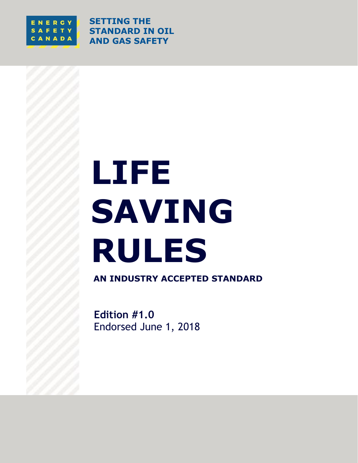

**SETTING THE STANDARD IN OIL AND GAS SAFETY**

# **LIFE SAVING RULES**

**AN INDUSTRY ACCEPTED STANDARD**

**Edition #1.0** Endorsed June 1, 2018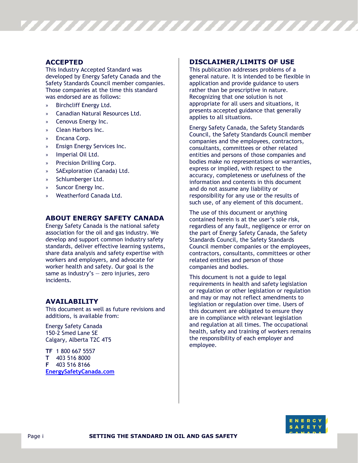#### **ACCEPTED**

This Industry Accepted Standard was developed by Energy Safety Canada and the Safety Standards Council member companies. Those companies at the time this standard was endorsed are as follows:

- » Birchcliff Energy Ltd.
- » Canadian Natural Resources Ltd.
- » Cenovus Energy Inc.
- » Clean Harbors Inc.
- » Encana Corp.
- » Ensign Energy Services Inc.
- » Imperial Oil Ltd.
- » Precision Drilling Corp.
- SAExploration (Canada) Ltd.
- » Schlumberger Ltd.
- » Suncor Energy Inc.
- » Weatherford Canada Ltd.

#### **ABOUT ENERGY SAFETY CANADA**

Energy Safety Canada is the national safety association for the oil and gas industry. We develop and support common industry safety standards, deliver effective learning systems, share data analysis and safety expertise with workers and employers, and advocate for worker health and safety. Our goal is the same as industry's  $-$  zero injuries, zero incidents.

#### **AVAILABILITY**

This document as well as future revisions and additions, is available from:

Energy Safety Canada 150-2 Smed Lane SE Calgary, Alberta T2C 4T5

**TF** 1 800 667 5557 **T** 403 516 8000 **F** 403 516 8166 **[EnergySafetyCanada.com](http://www.energysafetycanada.com/)**

#### **DISCLAIMER/LIMITS OF USE**

,,,,,,,,,,,,,,,,,,,,,,,,,,,,

This publication addresses problems of a general nature. It is intended to be flexible in application and provide guidance to users rather than be prescriptive in nature. Recognizing that one solution is not appropriate for all users and situations, it presents accepted guidance that generally applies to all situations.

Energy Safety Canada, the Safety Standards Council, the Safety Standards Council member companies and the employees, contractors, consultants, committees or other related entities and persons of those companies and bodies make no representations or warranties, express or implied, with respect to the accuracy, completeness or usefulness of the information and contents in this document and do not assume any liability or responsibility for any use or the results of such use, of any element of this document.

The use of this document or anything contained herein is at the user's sole risk, regardless of any fault, negligence or error on the part of Energy Safety Canada, the Safety Standards Council, the Safety Standards Council member companies or the employees, contractors, consultants, committees or other related entities and person of those companies and bodies.

This document is not a guide to legal requirements in health and safety legislation or regulation or other legislation or regulation and may or may not reflect amendments to legislation or regulation over time. Users of this document are obligated to ensure they are in compliance with relevant legislation and regulation at all times. The occupational health, safety and training of workers remains the responsibility of each employer and employee.

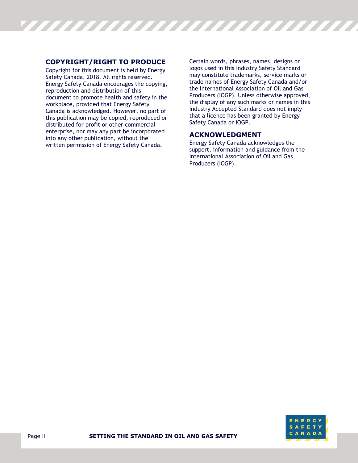

#### **COPYRIGHT/RIGHT TO PRODUCE**

Copyright for this document is held by Energy Safety Canada, 2018. All rights reserved. Energy Safety Canada encourages the copying, reproduction and distribution of this document to promote health and safety in the workplace, provided that Energy Safety Canada is acknowledged. However, no part of this publication may be copied, reproduced or distributed for profit or other commercial enterprise, nor may any part be incorporated into any other publication, without the written permission of Energy Safety Canada.

Certain words, phrases, names, designs or logos used in this Industry Safety Standard may constitute trademarks, service marks or trade names of Energy Safety Canada and/or the International Association of Oil and Gas Producers (IOGP). Unless otherwise approved, the display of any such marks or names in this Industry Accepted Standard does not imply that a licence has been granted by Energy Safety Canada or IOGP.

#### **ACKNOWLEDGMENT**

Energy Safety Canada acknowledges the support, information and guidance from the International Association of Oil and Gas Producers (IOGP).

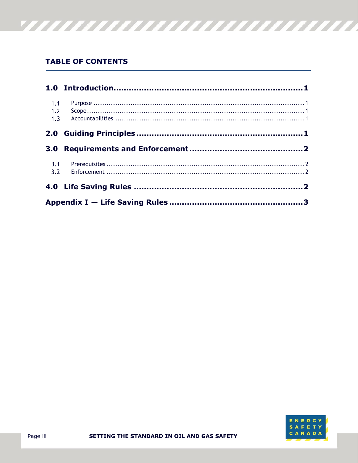# **TABLE OF CONTENTS**

| 1.1        |  |  |
|------------|--|--|
| 1.2<br>1.3 |  |  |
|            |  |  |
|            |  |  |
| 3.1        |  |  |
|            |  |  |
|            |  |  |

<u>777777777777777777777777777777</u>

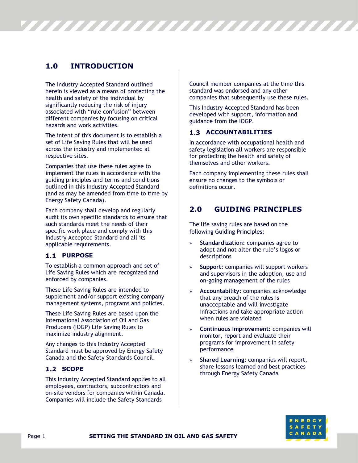# <span id="page-4-0"></span>**1.0 INTRODUCTION**

The Industry Accepted Standard outlined herein is viewed as a means of protecting the health and safety of the individual by significantly reducing the risk of injury associated with "rule confusion" between different companies by focusing on critical hazards and work activities.

The intent of this document is to establish a set of Life Saving Rules that will be used across the industry and implemented at respective sites.

Companies that use these rules agree to implement the rules in accordance with the guiding principles and terms and conditions outlined in this Industry Accepted Standard (and as may be amended from time to time by Energy Safety Canada).

Each company shall develop and regularly audit its own specific standards to ensure that such standards meet the needs of their specific work place and comply with this Industry Accepted Standard and all its applicable requirements.

#### <span id="page-4-1"></span>**1.1 PURPOSE**

To establish a common approach and set of Life Saving Rules which are recognized and enforced by companies.

These Life Saving Rules are intended to supplement and/or support existing company management systems, programs and policies.

These Life Saving Rules are based upon the International Association of Oil and Gas Producers (IOGP) Life Saving Rules to maximize industry alignment.

Any changes to this Industry Accepted Standard must be approved by Energy Safety Canada and the Safety Standards Council.

#### <span id="page-4-2"></span>1.2 SCOPE

This Industry Accepted Standard applies to all employees, contractors, subcontractors and on-site vendors for companies within Canada. Companies will include the Safety Standards

Council member companies at the time this standard was endorsed and any other companies that subsequently use these rules.

This Industry Accepted Standard has been developed with support, information and guidance from the IOGP.

#### <span id="page-4-3"></span>**ACCOUNTABILITIES**

,,,,,,,,,,,,,,,,,,,,,,,,,,,

In accordance with occupational health and safety legislation all workers are responsible for protecting the health and safety of themselves and other workers.

Each company implementing these rules shall ensure no changes to the symbols or definitions occur.

## <span id="page-4-4"></span>**2.0 GUIDING PRINCIPLES**

The life saving rules are based on the following Guiding Principles:

- » **Standardization:** companies agree to adopt and not alter the rule's logos or descriptions
- » **Support:** companies will support workers and supervisors in the adoption, use and on-going management of the rules
- » **Accountability:** companies acknowledge that any breach of the rules is unacceptable and will investigate infractions and take appropriate action when rules are violated
- » **Continuous Improvement:** companies will monitor, report and evaluate their programs for improvement in safety performance
- » **Shared Learning:** companies will report, share lessons learned and best practices through Energy Safety Canada

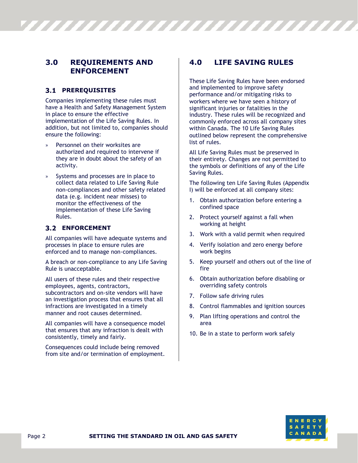# <span id="page-5-0"></span>**3.0 REQUIREMENTS AND ENFORCEMENT**

### <span id="page-5-1"></span>**PREREQUISITES**

Companies implementing these rules must have a Health and Safety Management System in place to ensure the effective implementation of the Life Saving Rules. In addition, but not limited to, companies should ensure the following:

- » Personnel on their worksites are authorized and required to intervene if they are in doubt about the safety of an activity.
- » Systems and processes are in place to collect data related to Life Saving Rule non-compliances and other safety related data (e.g. incident near misses) to monitor the effectiveness of the implementation of these Life Saving Rules.

#### <span id="page-5-2"></span>**ENFORCEMENT**

All companies will have adequate systems and processes in place to ensure rules are enforced and to manage non-compliances.

A breach or non-compliance to any Life Saving Rule is unacceptable.

All users of these rules and their respective employees, agents, contractors, subcontractors and on-site vendors will have an investigation process that ensures that all infractions are investigated in a timely manner and root causes determined.

All companies will have a consequence model that ensures that any infraction is dealt with consistently, timely and fairly.

Consequences could include being removed from site and/or termination of employment.

# <span id="page-5-3"></span>**4.0 LIFE SAVING RULES**

VIIIIIIIIIIIIIIIIIIIIIIIII

These Life Saving Rules have been endorsed and implemented to improve safety performance and/or mitigating risks to workers where we have seen a history of significant injuries or fatalities in the industry. These rules will be recognized and commonly enforced across all company sites within Canada. The 10 Life Saving Rules outlined below represent the comprehensive list of rules.

All Life Saving Rules must be preserved in their entirety. Changes are not permitted to the symbols or definitions of any of the Life Saving Rules.

The following ten Life Saving Rules (Appendix I) will be enforced at all company sites:

- 1. Obtain authorization before entering a confined space
- 2. Protect yourself against a fall when working at height
- 3. Work with a valid permit when required
- 4. Verify isolation and zero energy before work begins
- 5. Keep yourself and others out of the line of fire
- 6. Obtain authorization before disabling or overriding safety controls
- 7. Follow safe driving rules
- 8. Control flammables and ignition sources
- 9. Plan lifting operations and control the area
- 10. Be in a state to perform work safely

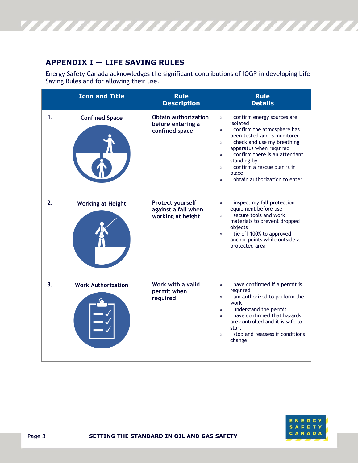

# <span id="page-6-0"></span>**APPENDIX I — LIFE SAVING RULES**

Energy Safety Canada acknowledges the significant contributions of IOGP in developing Life Saving Rules and for allowing their use.

|    | <b>Icon and Title</b>     | <b>Rule</b><br><b>Description</b>                                  | <b>Rule</b><br><b>Details</b>                                                                                                                                                                                                                                                                                                                                                                           |
|----|---------------------------|--------------------------------------------------------------------|---------------------------------------------------------------------------------------------------------------------------------------------------------------------------------------------------------------------------------------------------------------------------------------------------------------------------------------------------------------------------------------------------------|
| 1. | <b>Confined Space</b>     | <b>Obtain authorization</b><br>before entering a<br>confined space | I confirm energy sources are<br>$\mathcal{D}$<br>isolated<br>I confirm the atmosphere has<br>$\mathcal{D}$<br>been tested and is monitored<br>I check and use my breathing<br>$\mathcal{D}$<br>apparatus when required<br>I confirm there is an attendant<br>$\mathcal{D}$<br>standing by<br>I confirm a rescue plan is in<br>$\mathcal{D}$<br>place<br>I obtain authorization to enter<br>$\mathbf{v}$ |
| 2. | <b>Working at Height</b>  | Protect yourself<br>against a fall when<br>working at height       | I inspect my fall protection<br>$\mathcal{D}$<br>equipment before use<br>I secure tools and work<br>$\mathcal{D}$<br>materials to prevent dropped<br>objects<br>I tie off 100% to approved<br>$\mathcal{D}$<br>anchor points while outside a<br>protected area                                                                                                                                          |
| 3. | <b>Work Authorization</b> | Work with a valid<br>permit when<br>required                       | I have confirmed if a permit is<br>$\mathcal{D}$<br>required<br>I am authorized to perform the<br>$\mathcal{D}$<br>work<br>I understand the permit<br>$\mathcal{D}$<br>I have confirmed that hazards<br>$\mathcal{D}$<br>are controlled and it is safe to<br>start<br>I stop and reassess if conditions<br>$\mathcal{D}$<br>change                                                                      |

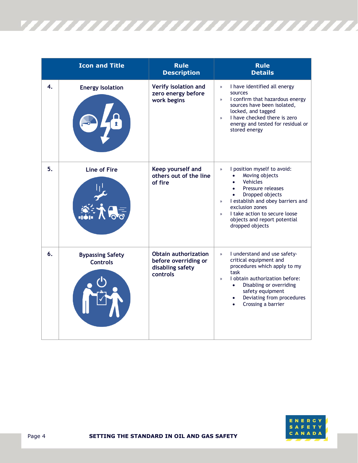

|    | <b>Icon and Title</b>                      | <b>Rule</b><br><b>Description</b>                                                   | <b>Rule</b><br><b>Details</b>                                                                                                                                                                                                                                                                     |
|----|--------------------------------------------|-------------------------------------------------------------------------------------|---------------------------------------------------------------------------------------------------------------------------------------------------------------------------------------------------------------------------------------------------------------------------------------------------|
| 4. | <b>Energy Isolation</b>                    | Verify isolation and<br>zero energy before<br>work begins                           | I have identified all energy<br>$\mathcal{D}$<br>sources<br>I confirm that hazardous energy<br>$\mathcal{D}$<br>sources have been isolated,<br>locked, and tagged<br>I have checked there is zero<br>$\mathfrak{D}$<br>energy and tested for residual or<br>stored energy                         |
| 5. | <b>Line of Fire</b>                        | Keep yourself and<br>others out of the line<br>of fire                              | I position myself to avoid:<br>$\mathfrak{D}$<br>Moving objects<br>Vehicles<br>Pressure releases<br>Dropped objects<br>I establish and obey barriers and<br>$\mathcal{D}$<br>exclusion zones<br>I take action to secure loose<br>$\mathcal{D}$<br>objects and report potential<br>dropped objects |
| 6. | <b>Bypassing Safety</b><br><b>Controls</b> | <b>Obtain authorization</b><br>before overriding or<br>disabling safety<br>controls | I understand and use safety-<br>$\mathbf{v}$<br>critical equipment and<br>procedures which apply to my<br>task<br>I obtain authorization before:<br>$\mathcal{D}$<br>Disabling or overriding<br>$\bullet$<br>safety equipment<br>Deviating from procedures<br>Crossing a barrier<br>$\bullet$     |

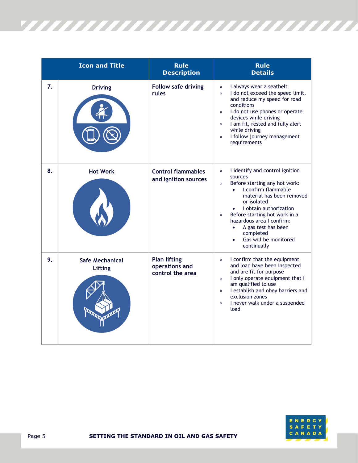

|    | <b>Icon and Title</b>             | <b>Rule</b><br><b>Description</b>                         | <b>Rule</b><br><b>Details</b>                                                                                                                                                                                                                                                                                                                                                      |
|----|-----------------------------------|-----------------------------------------------------------|------------------------------------------------------------------------------------------------------------------------------------------------------------------------------------------------------------------------------------------------------------------------------------------------------------------------------------------------------------------------------------|
| 7. | <b>Driving</b>                    | <b>Follow safe driving</b><br>rules                       | I always wear a seatbelt<br>$\mathcal{D}$<br>I do not exceed the speed limit,<br>$\mathcal{D}$<br>and reduce my speed for road<br>conditions<br>I do not use phones or operate<br>$\mathcal{D}$<br>devices while driving<br>I am fit, rested and fully alert<br>$\mathcal{D}$<br>while driving<br>I follow journey management<br>$\mathbf{v}$<br>requirements                      |
| 8. | <b>Hot Work</b>                   | <b>Control flammables</b><br>and ignition sources         | I identify and control ignition<br>$\mathcal{D}$<br>sources<br>Before starting any hot work:<br>$\mathcal{D}$<br>I confirm flammable<br>$\bullet$<br>material has been removed<br>or isolated<br>I obtain authorization<br>Before starting hot work in a<br>$\mathcal{D}$<br>hazardous area I confirm:<br>A gas test has been<br>completed<br>Gas will be monitored<br>continually |
| 9. | <b>Safe Mechanical</b><br>Lifting | <b>Plan lifting</b><br>operations and<br>control the area | I confirm that the equipment<br>$\mathcal{D}$<br>and load have been inspected<br>and are fit for purpose<br>I only operate equipment that I<br>$\mathcal{D}$<br>am qualified to use<br>I establish and obey barriers and<br>$\mathcal{D}$<br>exclusion zones<br>I never walk under a suspended<br>$\mathcal{D}$<br>load                                                            |

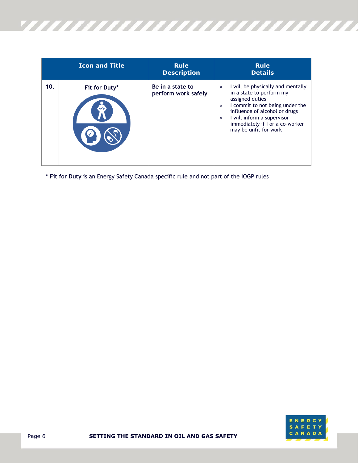

|     | <b>Icon and Title</b>                   | <b>Rule</b><br><b>Description</b>       | <b>Rule</b><br><b>Details</b>                                                                                                                                                                                                                                                     |
|-----|-----------------------------------------|-----------------------------------------|-----------------------------------------------------------------------------------------------------------------------------------------------------------------------------------------------------------------------------------------------------------------------------------|
| 10. | Fit for Duty*<br>$\mathbf{\mathcal{R}}$ | Be in a state to<br>perform work safely | I will be physically and mentally<br>$\gg$<br>in a state to perform my<br>assigned duties<br>I commit to not being under the<br>$\mathcal{P}$<br>influence of alcohol or drugs<br>I will inform a supervisor<br>$\gg$<br>immediately if I or a co-worker<br>may be unfit for work |

**\* Fit for Duty** is an Energy Safety Canada specific rule and not part of the IOGP rules